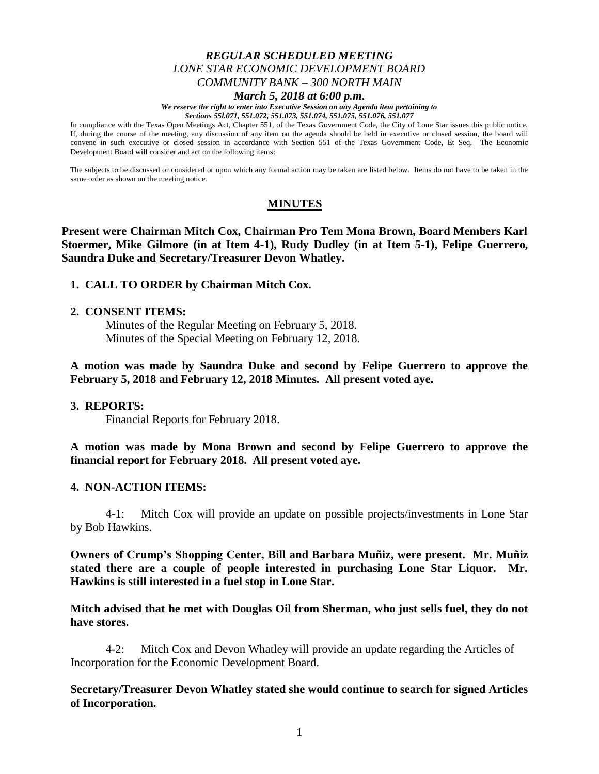# *REGULAR SCHEDULED MEETING LONE STAR ECONOMIC DEVELOPMENT BOARD COMMUNITY BANK – 300 NORTH MAIN March 5, 2018 at 6:00 p.m.*

#### *We reserve the right to enter into Executive Session on any Agenda item pertaining to*

*Sections 55l.071, 551.072, 551.073, 551.074, 551.075, 551.076, 551.077*

In compliance with the Texas Open Meetings Act, Chapter 551, of the Texas Government Code, the City of Lone Star issues this public notice. If, during the course of the meeting, any discussion of any item on the agenda should be held in executive or closed session, the board will convene in such executive or closed session in accordance with Section 551 of the Texas Government Code, Et Seq. The Economic Development Board will consider and act on the following items:

The subjects to be discussed or considered or upon which any formal action may be taken are listed below. Items do not have to be taken in the same order as shown on the meeting notice.

# **MINUTES**

**Present were Chairman Mitch Cox, Chairman Pro Tem Mona Brown, Board Members Karl Stoermer, Mike Gilmore (in at Item 4-1), Rudy Dudley (in at Item 5-1), Felipe Guerrero, Saundra Duke and Secretary/Treasurer Devon Whatley.**

## **1. CALL TO ORDER by Chairman Mitch Cox.**

### **2. CONSENT ITEMS:**

Minutes of the Regular Meeting on February 5, 2018. Minutes of the Special Meeting on February 12, 2018.

**A motion was made by Saundra Duke and second by Felipe Guerrero to approve the February 5, 2018 and February 12, 2018 Minutes. All present voted aye.**

### **3. REPORTS:**

Financial Reports for February 2018.

**A motion was made by Mona Brown and second by Felipe Guerrero to approve the financial report for February 2018. All present voted aye.**

### **4. NON-ACTION ITEMS:**

4-1: Mitch Cox will provide an update on possible projects/investments in Lone Star by Bob Hawkins.

**Owners of Crump's Shopping Center, Bill and Barbara Muñiz, were present. Mr. Muñiz stated there are a couple of people interested in purchasing Lone Star Liquor. Mr. Hawkins is still interested in a fuel stop in Lone Star.** 

**Mitch advised that he met with Douglas Oil from Sherman, who just sells fuel, they do not have stores.**

4-2: Mitch Cox and Devon Whatley will provide an update regarding the Articles of Incorporation for the Economic Development Board.

**Secretary/Treasurer Devon Whatley stated she would continue to search for signed Articles of Incorporation.**